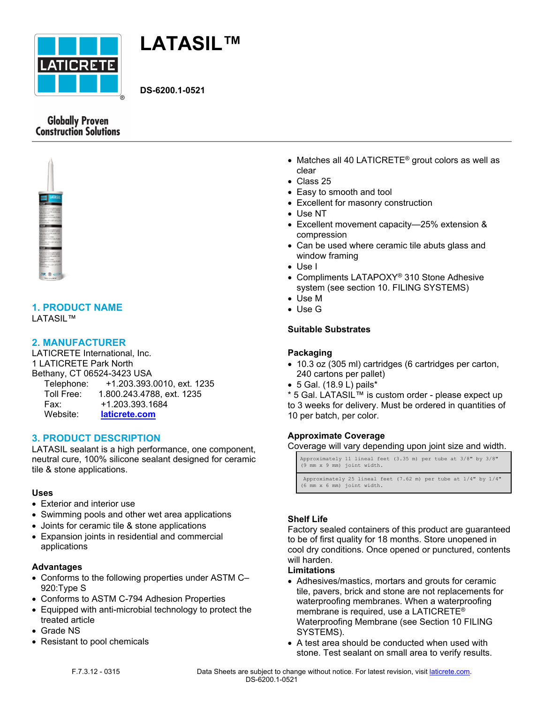



**DS-6200.1-0521**

# **Globally Proven Construction Solutions**



# **1. PRODUCT NAME**

# LATASIL™

## **2. MANUFACTURER**

LATICRETE International, Inc. 1 LATICRETE Park North Bethany, CT 06524-3423 USA Telephone: +1.203.393.0010, ext. 1235 Toll Free: 1.800.243.4788, ext. 1235 Fax: +1.203.393.1684 Website: **laticrete.com**

# **3. PRODUCT DESCRIPTION**

LATASIL sealant is a high performance, one component, neutral cure, 100% silicone sealant designed for ceramic tile & stone applications.

## **Uses**

- Exterior and interior use
- Swimming pools and other wet area applications
- Joints for ceramic tile & stone applications
- Expansion joints in residential and commercial applications

### **Advantages**

- Conforms to the following properties under ASTM C– 920:Type S
- Conforms to ASTM C-794 Adhesion Properties
- Equipped with anti-microbial technology to protect the treated article
- Grade NS
- Resistant to pool chemicals
- Matches all 40 LATICRETE<sup>®</sup> grout colors as well as clear
- Class 25
- Easy to smooth and tool
- Excellent for masonry construction
- Use NT
- Excellent movement capacity—25% extension & compression
- Can be used where ceramic tile abuts glass and window framing
- Use I
- Compliments LATAPOXY<sup>®</sup> 310 Stone Adhesive system (see section 10. FILING SYSTEMS)
- Use M
- Use G

## **Suitable Substrates**

## **Packaging**

- 10.3 oz (305 ml) cartridges (6 cartridges per carton, 240 cartons per pallet)
- 5 Gal. (18.9 L) pails\*

\* 5 Gal. LATASIL™ is custom order - please expect up to 3 weeks for delivery. Must be ordered in quantities of 10 per batch, per color.

### **Approximate Coverage**

Coverage will vary depending upon joint size and width.

| Approximately 11 lineal feet (3.35 m) per tube at 3/8" by 3/8"<br>(9 mm x 9 mm) joint width.                 |  |
|--------------------------------------------------------------------------------------------------------------|--|
| Approximately 25 lineal feet $(7.62 \text{ m})$ per tube at $1/4$ " by $1/4$ "<br>(6 mm x 6 mm) joint width. |  |

### **Shelf Life**

Factory sealed containers of this product are guaranteed to be of first quality for 18 months. Store unopened in cool dry conditions. Once opened or punctured, contents will harden.

## **Limitations**

- Adhesives/mastics, mortars and grouts for ceramic tile, pavers, brick and stone are not replacements for waterproofing membranes. When a waterproofing membrane is required, use a LATICRETE® Waterproofing Membrane (see Section 10 FILING SYSTEMS).
- A test area should be conducted when used with stone. Test sealant on small area to verify results.

F.7.3.12 - 0315 Data Sheets are subject to change without notice. For latest revision, visit laticrete.com. DS-6200.1-0521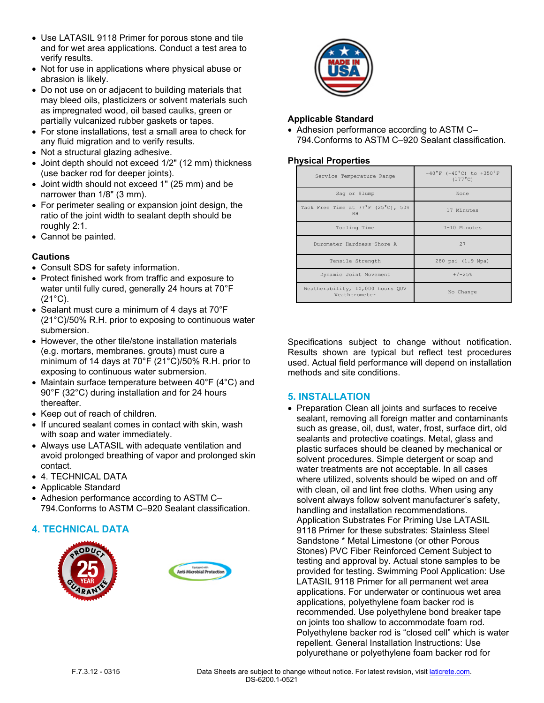- Use LATASIL 9118 Primer for porous stone and tile and for wet area applications. Conduct a test area to verify results.
- Not for use in applications where physical abuse or abrasion is likely.
- Do not use on or adjacent to building materials that may bleed oils, plasticizers or solvent materials such as impregnated wood, oil based caulks, green or partially vulcanized rubber gaskets or tapes.
- For stone installations, test a small area to check for any fluid migration and to verify results.
- Not a structural glazing adhesive.
- Joint depth should not exceed 1/2" (12 mm) thickness (use backer rod for deeper joints).
- Joint width should not exceed 1" (25 mm) and be narrower than 1/8" (3 mm).
- For perimeter sealing or expansion joint design, the ratio of the joint width to sealant depth should be roughly 2:1.
- Cannot be painted.

# **Cautions**

- Consult SDS for safety information.
- Protect finished work from traffic and exposure to water until fully cured, generally 24 hours at 70°F (21°C).
- Sealant must cure a minimum of 4 days at 70°F (21°C)/50% R.H. prior to exposing to continuous water submersion.
- However, the other tile/stone installation materials (e.g. mortars, membranes. grouts) must cure a minimum of 14 days at 70°F (21°C)/50% R.H. prior to exposing to continuous water submersion.
- Maintain surface temperature between 40°F (4°C) and 90°F (32°C) during installation and for 24 hours thereafter.
- Keep out of reach of children.
- If uncured sealant comes in contact with skin, wash with soap and water immediately.
- Always use LATASIL with adequate ventilation and avoid prolonged breathing of vapor and prolonged skin contact.
- 4. TECHNICAL DATA
- Applicable Standard
- Adhesion performance according to ASTM C– 794.Conforms to ASTM C–920 Sealant classification.

# **4. TECHNICAL DATA**







# **Applicable Standard**

• Adhesion performance according to ASTM C-794.Conforms to ASTM C–920 Sealant classification.

# **Physical Properties**

| Service Temperature Range                         | $-40^{\circ}$ F (-40°C) to +350°F<br>$(177^{\circ}C)$ |
|---------------------------------------------------|-------------------------------------------------------|
| Sag or Slump                                      | None                                                  |
| Tack Free Time at 77°F (25°C), 50%<br><b>RH</b>   | 17 Minutes                                            |
| Tooling Time                                      | 7-10 Minutes                                          |
| Durometer Hardness-Shore A                        | 27                                                    |
| Tensile Strength                                  | 280 psi (1.9 Mpa)                                     |
| Dynamic Joint Movement                            | $+/-25%$                                              |
| Weatherability, 10,000 hours QUV<br>Weatherometer | No Change                                             |

Specifications subject to change without notification. Results shown are typical but reflect test procedures used. Actual field performance will depend on installation methods and site conditions.

# **5. INSTALLATION**

• Preparation Clean all joints and surfaces to receive sealant, removing all foreign matter and contaminants such as grease, oil, dust, water, frost, surface dirt, old sealants and protective coatings. Metal, glass and plastic surfaces should be cleaned by mechanical or solvent procedures. Simple detergent or soap and water treatments are not acceptable. In all cases where utilized, solvents should be wiped on and off with clean, oil and lint free cloths. When using any solvent always follow solvent manufacturer's safety, handling and installation recommendations. Application Substrates For Priming Use LATASIL 9118 Primer for these substrates: Stainless Steel Sandstone \* Metal Limestone (or other Porous Stones) PVC Fiber Reinforced Cement Subject to testing and approval by. Actual stone samples to be provided for testing. Swimming Pool Application: Use LATASIL 9118 Primer for all permanent wet area applications. For underwater or continuous wet area applications, polyethylene foam backer rod is recommended. Use polyethylene bond breaker tape on joints too shallow to accommodate foam rod. Polyethylene backer rod is "closed cell" which is water repellent. General Installation Instructions: Use polyurethane or polyethylene foam backer rod for